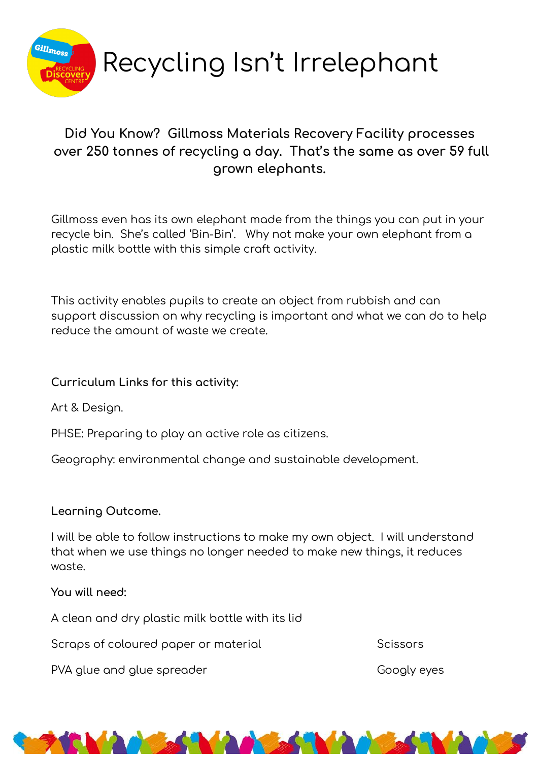

## Did You Know? Gillmoss Materials Recovery Facility processes over 250 tonnes of recycling a day. That's the same as over 59 full grown elephants.

Gillmoss even has its own elephant made from the things you can put in your recycle bin. She's called 'Bin-Bin'. Why not make your own elephant from a plastic milk bottle with this simple craft activity.

This activity enables pupils to create an object from rubbish and can support discussion on why recycling is important and what we can do to help reduce the amount of waste we create.

## Curriculum Links for this activity:

Art & Design.

PHSE: Preparing to play an active role as citizens.

Geography: environmental change and sustainable development.

## Learning Outcome.

I will be able to follow instructions to make my own object. I will understand that when we use things no longer needed to make new things, it reduces waste.

You will need:

A clean and dry plastic milk bottle with its lid

Scraps of coloured paper or material

PVA glue and glue spreader

Scissors

Googly eyes